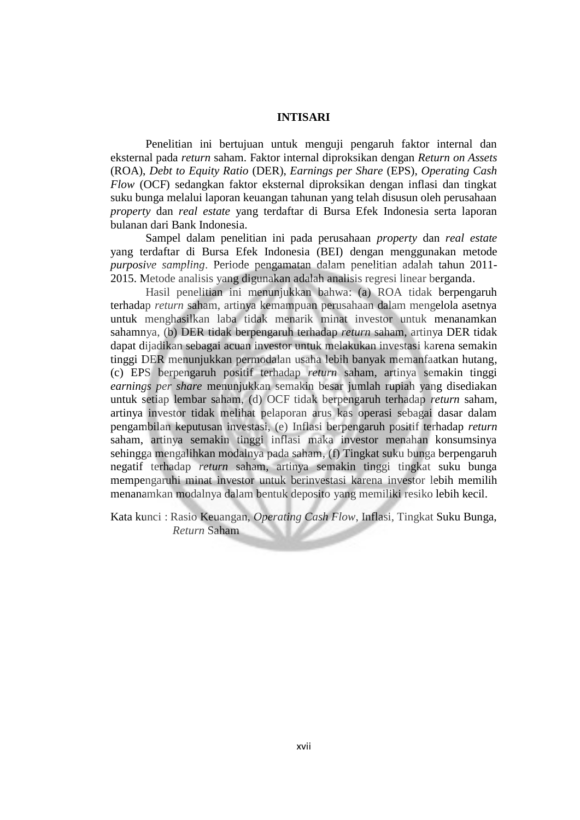## **INTISARI**

 Penelitian ini bertujuan untuk menguji pengaruh faktor internal dan eksternal pada *return* saham. Faktor internal diproksikan dengan *Return on Assets* (ROA), *Debt to Equity Ratio* (DER), *Earnings per Share* (EPS), *Operating Cash Flow* (OCF) sedangkan faktor eksternal diproksikan dengan inflasi dan tingkat suku bunga melalui laporan keuangan tahunan yang telah disusun oleh perusahaan *property* dan *real estate* yang terdaftar di Bursa Efek Indonesia serta laporan bulanan dari Bank Indonesia.

 Sampel dalam penelitian ini pada perusahaan *property* dan *real estate* yang terdaftar di Bursa Efek Indonesia (BEI) dengan menggunakan metode *purposive sampling*. Periode pengamatan dalam penelitian adalah tahun 2011- 2015. Metode analisis yang digunakan adalah analisis regresi linear berganda.

 Hasil penelitian ini menunjukkan bahwa: (a) ROA tidak berpengaruh terhadap *return* saham, artinya kemampuan perusahaan dalam mengelola asetnya untuk menghasilkan laba tidak menarik minat investor untuk menanamkan sahamnya, (b) DER tidak berpengaruh terhadap *return* saham, artinya DER tidak dapat dijadikan sebagai acuan investor untuk melakukan investasi karena semakin tinggi DER menunjukkan permodalan usaha lebih banyak memanfaatkan hutang, (c) EPS berpengaruh positif terhadap *return* saham, artinya semakin tinggi *earnings per share* menunjukkan semakin besar jumlah rupiah yang disediakan untuk setiap lembar saham, (d) OCF tidak berpengaruh terhadap *return* saham, artinya investor tidak melihat pelaporan arus kas operasi sebagai dasar dalam pengambilan keputusan investasi, (e) Inflasi berpengaruh positif terhadap *return* saham, artinya semakin tinggi inflasi maka investor menahan konsumsinya sehingga mengalihkan modalnya pada saham, (f) Tingkat suku bunga berpengaruh negatif terhadap *return* saham, artinya semakin tinggi tingkat suku bunga mempengaruhi minat investor untuk berinvestasi karena investor lebih memilih menanamkan modalnya dalam bentuk deposito yang memiliki resiko lebih kecil.

Kata kunci : Rasio Keuangan, *Operating Cash Flow*, Inflasi, Tingkat Suku Bunga, *Return* Saham